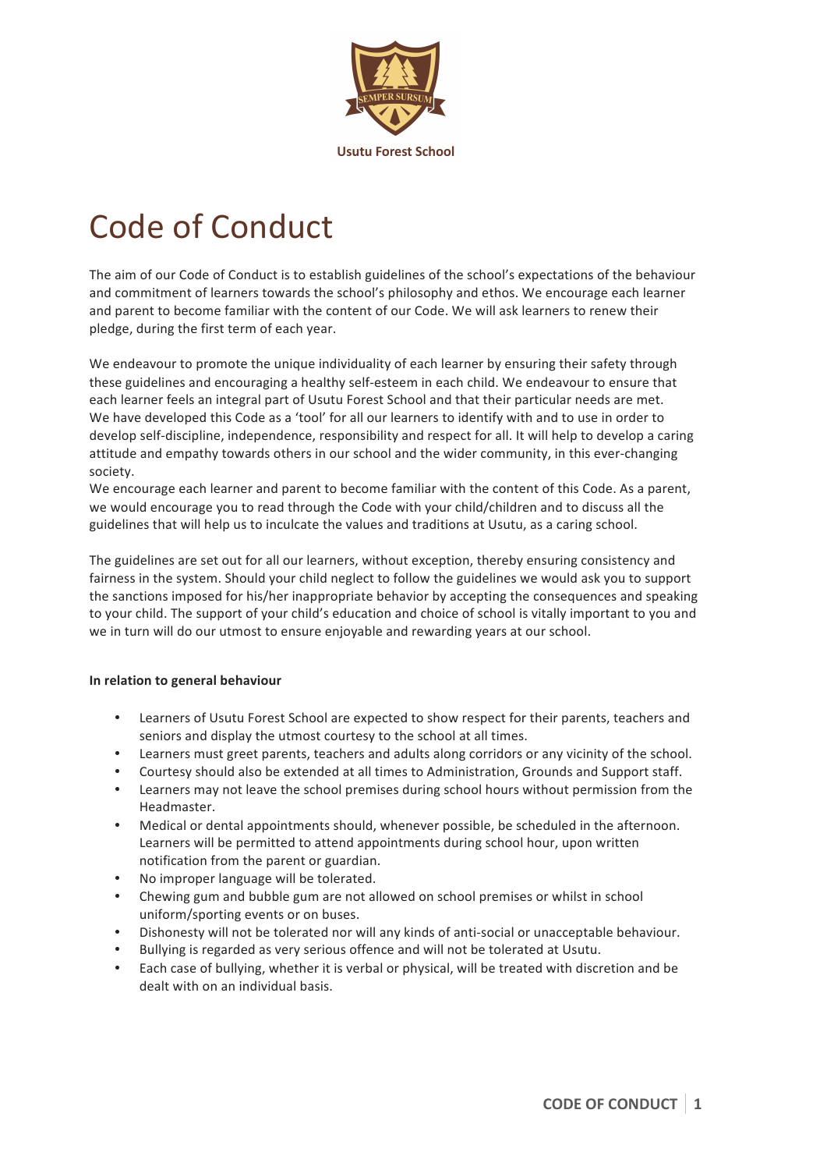

# Code of Conduct

The aim of our Code of Conduct is to establish guidelines of the school's expectations of the behaviour and commitment of learners towards the school's philosophy and ethos. We encourage each learner and parent to become familiar with the content of our Code. We will ask learners to renew their pledge, during the first term of each year.

We endeavour to promote the unique individuality of each learner by ensuring their safety through these guidelines and encouraging a healthy self-esteem in each child. We endeavour to ensure that each learner feels an integral part of Usutu Forest School and that their particular needs are met. We have developed this Code as a 'tool' for all our learners to identify with and to use in order to develop self-discipline, independence, responsibility and respect for all. It will help to develop a caring attitude and empathy towards others in our school and the wider community, in this ever-changing society.

We encourage each learner and parent to become familiar with the content of this Code. As a parent, we would encourage you to read through the Code with your child/children and to discuss all the guidelines that will help us to inculcate the values and traditions at Usutu, as a caring school.

The guidelines are set out for all our learners, without exception, thereby ensuring consistency and fairness in the system. Should your child neglect to follow the guidelines we would ask you to support the sanctions imposed for his/her inappropriate behavior by accepting the consequences and speaking to your child. The support of your child's education and choice of school is vitally important to you and we in turn will do our utmost to ensure enjoyable and rewarding years at our school.

## **In relation to general behaviour**

- Learners of Usutu Forest School are expected to show respect for their parents, teachers and seniors and display the utmost courtesy to the school at all times.
- Learners must greet parents, teachers and adults along corridors or any vicinity of the school.
- Courtesy should also be extended at all times to Administration, Grounds and Support staff.
- Learners may not leave the school premises during school hours without permission from the Headmaster.
- Medical or dental appointments should, whenever possible, be scheduled in the afternoon. Learners will be permitted to attend appointments during school hour, upon written notification from the parent or guardian.
- No improper language will be tolerated.
- Chewing gum and bubble gum are not allowed on school premises or whilst in school uniform/sporting events or on buses.
- Dishonesty will not be tolerated nor will any kinds of anti-social or unacceptable behaviour.
- Bullying is regarded as very serious offence and will not be tolerated at Usutu.
- Each case of bullying, whether it is verbal or physical, will be treated with discretion and be dealt with on an individual basis.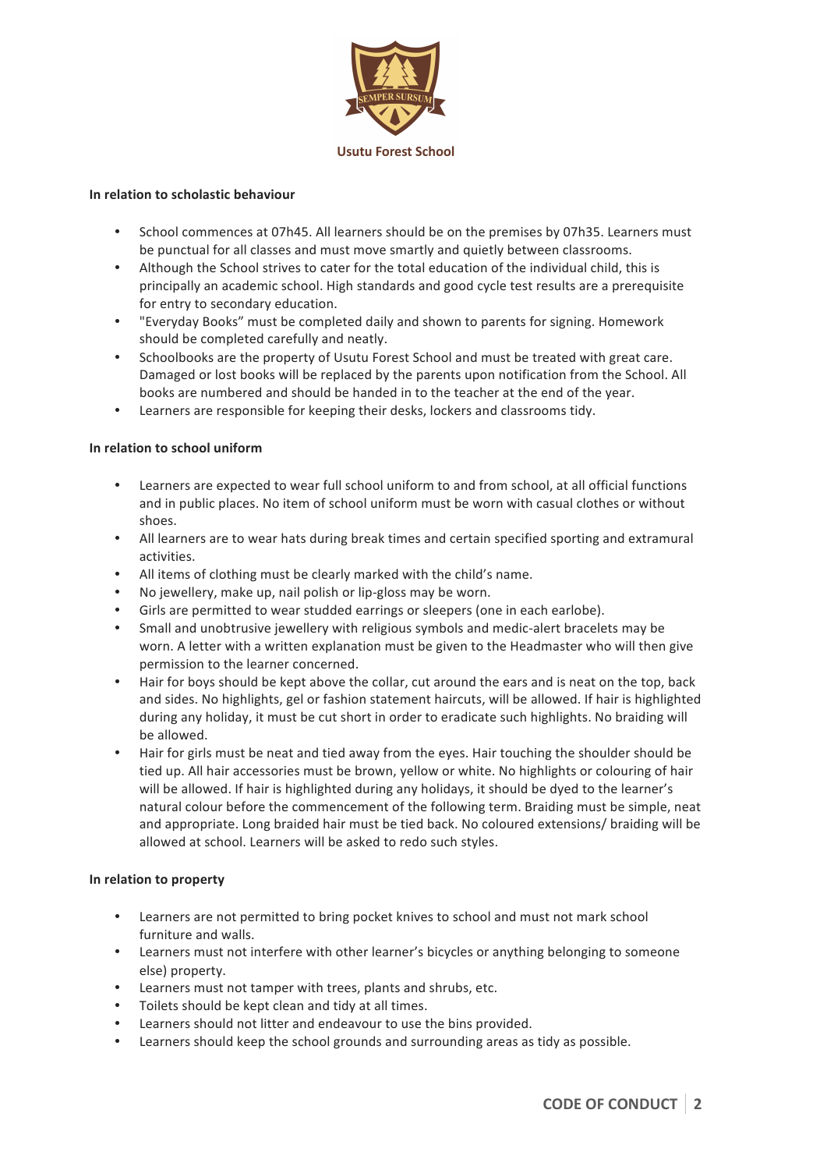

### **In relation to scholastic behaviour**

- School commences at 07h45. All learners should be on the premises by 07h35. Learners must be punctual for all classes and must move smartly and quietly between classrooms.
- Although the School strives to cater for the total education of the individual child, this is principally an academic school. High standards and good cycle test results are a prerequisite for entry to secondary education.
- "Everyday Books" must be completed daily and shown to parents for signing. Homework should be completed carefully and neatly.
- Schoolbooks are the property of Usutu Forest School and must be treated with great care. Damaged or lost books will be replaced by the parents upon notification from the School. All books are numbered and should be handed in to the teacher at the end of the year.
- Learners are responsible for keeping their desks, lockers and classrooms tidy.

### **In relation to school uniform**

- Learners are expected to wear full school uniform to and from school, at all official functions and in public places. No item of school uniform must be worn with casual clothes or without shoes.
- All learners are to wear hats during break times and certain specified sporting and extramural activities.
- All items of clothing must be clearly marked with the child's name.
- No jewellery, make up, nail polish or lip-gloss may be worn.
- Girls are permitted to wear studded earrings or sleepers (one in each earlobe).
- Small and unobtrusive jewellery with religious symbols and medic-alert bracelets may be worn. A letter with a written explanation must be given to the Headmaster who will then give permission to the learner concerned.
- Hair for boys should be kept above the collar, cut around the ears and is neat on the top, back and sides. No highlights, gel or fashion statement haircuts, will be allowed. If hair is highlighted during any holiday, it must be cut short in order to eradicate such highlights. No braiding will be allowed.
- Hair for girls must be neat and tied away from the eyes. Hair touching the shoulder should be tied up. All hair accessories must be brown, yellow or white. No highlights or colouring of hair will be allowed. If hair is highlighted during any holidays, it should be dyed to the learner's natural colour before the commencement of the following term. Braiding must be simple, neat and appropriate. Long braided hair must be tied back. No coloured extensions/ braiding will be allowed at school. Learners will be asked to redo such styles.

## **In relation to property**

- Learners are not permitted to bring pocket knives to school and must not mark school furniture and walls.
- Learners must not interfere with other learner's bicycles or anything belonging to someone else) property.
- Learners must not tamper with trees, plants and shrubs, etc.
- Toilets should be kept clean and tidy at all times.
- Learners should not litter and endeavour to use the bins provided.
- Learners should keep the school grounds and surrounding areas as tidy as possible.